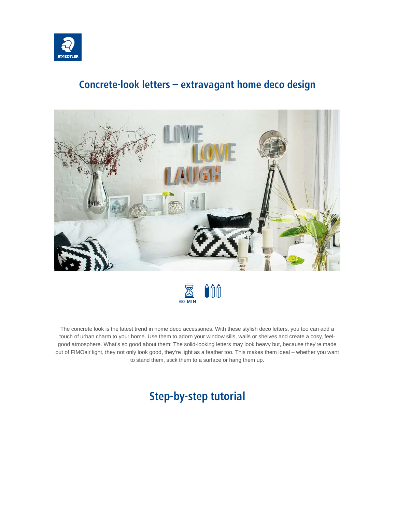

## **Concrete-look letters – extravagant home deco design**





The concrete look is the latest trend in home deco accessories. With these stylish deco letters, you too can add a touch of urban charm to your home. Use them to adorn your window sills, walls or shelves and create a cosy, feelgood atmosphere. What's so good about them: The solid-looking letters may look heavy but, because they're made out of FIMOair light, they not only look good, they're light as a feather too. This makes them ideal – whether you want to stand them, stick them to a surface or hang them up.

# **Step-by-step tutorial**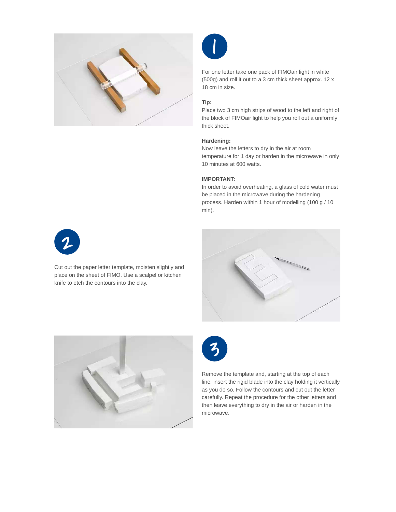



For one letter take one pack of FIMOair light in white (500g) and roll it out to a 3 cm thick sheet approx. 12 x 18 cm in size.

### **Tip:**

Place two 3 cm high strips of wood to the left and right of the block of FIMOair light to help you roll out a uniformly thick sheet.

#### **Hardening:**

Now leave the letters to dry in the air at room temperature for 1 day or harden in the microwave in only 10 minutes at 600 watts.

#### **IMPORTANT:**

In order to avoid overheating, a glass of cold water must be placed in the microwave during the hardening process. Harden within 1 hour of modelling (100 g / 10 min).



Cut out the paper letter template, moisten slightly and place on the sheet of FIMO. Use a scalpel or kitchen knife to etch the contours into the clay.







Remove the template and, starting at the top of each line, insert the rigid blade into the clay holding it vertically as you do so. Follow the contours and cut out the letter carefully. Repeat the procedure for the other letters and then leave everything to dry in the air or harden in the microwave.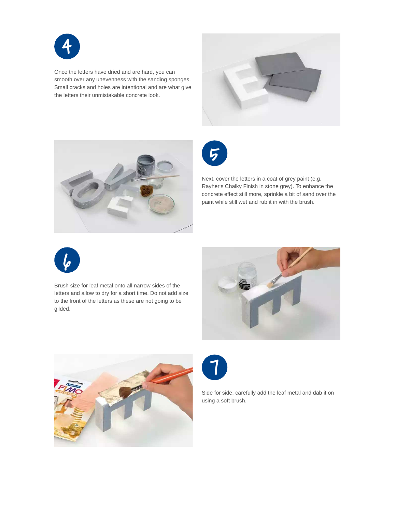

Once the letters have dried and are hard, you can smooth over any unevenness with the sanding sponges. Small cracks and holes are intentional and are what give the letters their unmistakable concrete look.







Next, cover the letters in a coat of grey paint (e.g. Rayher's Chalky Finish in stone grey). To enhance the concrete effect still more, sprinkle a bit of sand over the paint while still wet and rub it in with the brush.



Brush size for leaf metal onto all narrow sides of the letters and allow to dry for a short time. Do not add size to the front of the letters as these are not going to be gilded.







Side for side, carefully add the leaf metal and dab it on using a soft brush.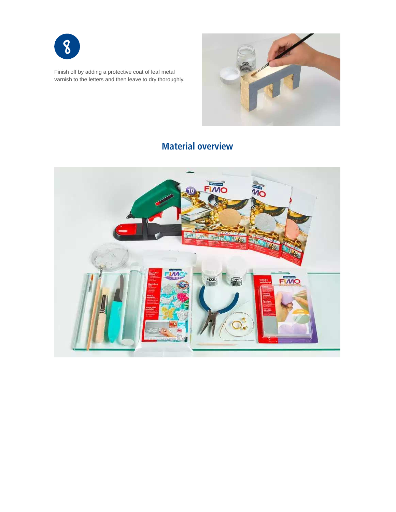

Finish off by adding a protective coat of leaf metal varnish to the letters and then leave to dry thoroughly.



# **Material overview**